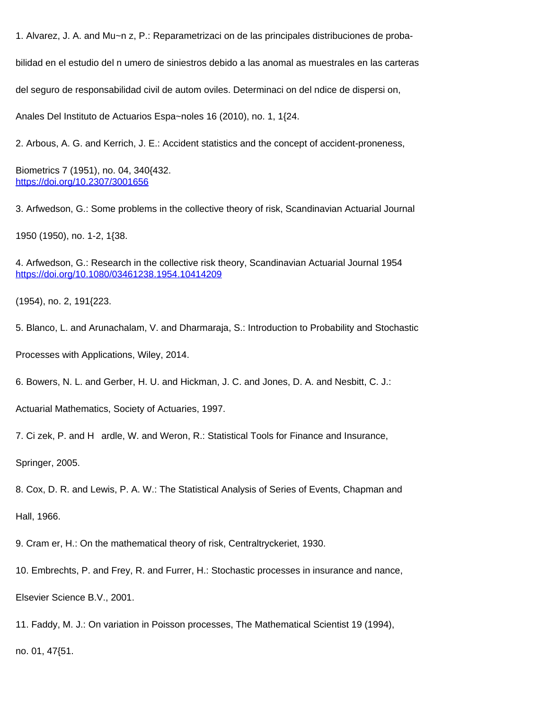1. Alvarez, J. A. and Mu~n z, P.: Reparametrizaci on de las principales distribuciones de proba-

bilidad en el estudio del n umero de siniestros debido a las anomal as muestrales en las carteras

del seguro de responsabilidad civil de autom oviles. Determinaci on del ndice de dispersi on,

Anales Del Instituto de Actuarios Espa~noles 16 (2010), no. 1, 1{24.

2. Arbous, A. G. and Kerrich, J. E.: Accident statistics and the concept of accident-proneness,

Biometrics 7 (1951), no. 04, 340{432. <https://doi.org/10.2307/3001656>

3. Arfwedson, G.: Some problems in the collective theory of risk, Scandinavian Actuarial Journal

1950 (1950), no. 1-2, 1{38.

4. Arfwedson, G.: Research in the collective risk theory, Scandinavian Actuarial Journal 1954 <https://doi.org/10.1080/03461238.1954.10414209>

(1954), no. 2, 191{223.

5. Blanco, L. and Arunachalam, V. and Dharmaraja, S.: Introduction to Probability and Stochastic

Processes with Applications, Wiley, 2014.

6. Bowers, N. L. and Gerber, H. U. and Hickman, J. C. and Jones, D. A. and Nesbitt, C. J.:

Actuarial Mathematics, Society of Actuaries, 1997.

7. Ci zek, P. and H ardle, W. and Weron, R.: Statistical Tools for Finance and Insurance,

Springer, 2005.

8. Cox, D. R. and Lewis, P. A. W.: The Statistical Analysis of Series of Events, Chapman and

Hall, 1966.

9. Cram er, H.: On the mathematical theory of risk, Centraltryckeriet, 1930.

10. Embrechts, P. and Frey, R. and Furrer, H.: Stochastic processes in insurance and nance,

Elsevier Science B.V., 2001.

11. Faddy, M. J.: On variation in Poisson processes, The Mathematical Scientist 19 (1994),

no. 01, 47{51.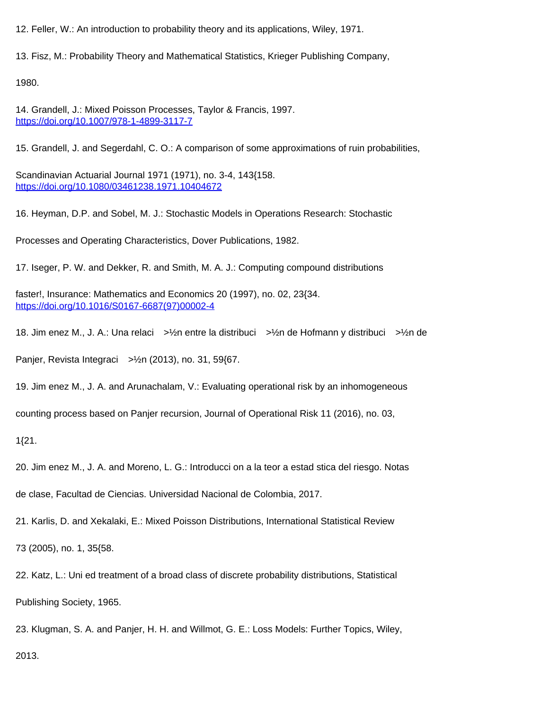12. Feller, W.: An introduction to probability theory and its applications, Wiley, 1971.

13. Fisz, M.: Probability Theory and Mathematical Statistics, Krieger Publishing Company,

1980.

14. Grandell, J.: Mixed Poisson Processes, Taylor & Francis, 1997. <https://doi.org/10.1007/978-1-4899-3117-7>

15. Grandell, J. and Segerdahl, C. O.: A comparison of some approximations of ruin probabilities,

Scandinavian Actuarial Journal 1971 (1971), no. 3-4, 143{158. <https://doi.org/10.1080/03461238.1971.10404672>

16. Heyman, D.P. and Sobel, M. J.: Stochastic Models in Operations Research: Stochastic

Processes and Operating Characteristics, Dover Publications, 1982.

17. Iseger, P. W. and Dekker, R. and Smith, M. A. J.: Computing compound distributions

faster!, Insurance: Mathematics and Economics 20 (1997), no. 02, 23{34. [https://doi.org/10.1016/S0167-6687\(97\)00002-4](https://doi.org/10.1016/S0167-6687(97)00002-4)

18. Jim enez M., J. A.: Una relaci >½n entre la distribuci >½n de Hofmann y distribuci >½n de

Panjer, Revista Integraci >½n (2013), no. 31, 59{67.

19. Jim enez M., J. A. and Arunachalam, V.: Evaluating operational risk by an inhomogeneous

counting process based on Panjer recursion, Journal of Operational Risk 11 (2016), no. 03,

1{21.

20. Jim enez M., J. A. and Moreno, L. G.: Introducci on a la teor a estad stica del riesgo. Notas

de clase, Facultad de Ciencias. Universidad Nacional de Colombia, 2017.

21. Karlis, D. and Xekalaki, E.: Mixed Poisson Distributions, International Statistical Review

73 (2005), no. 1, 35{58.

22. Katz, L.: Uni ed treatment of a broad class of discrete probability distributions, Statistical Publishing Society, 1965.

23. Klugman, S. A. and Panjer, H. H. and Willmot, G. E.: Loss Models: Further Topics, Wiley, 2013.